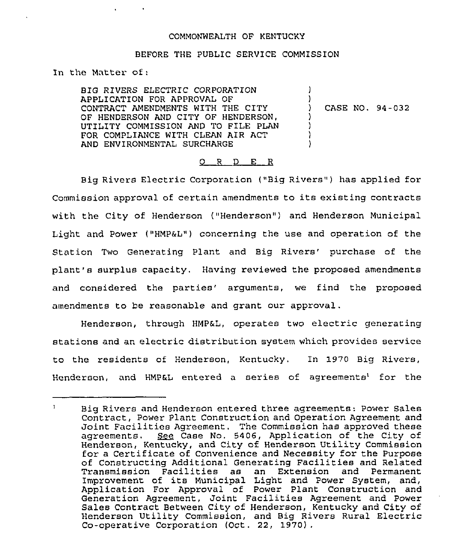## COMMONWEALTH OF KENTUCKY

## BEFORE THE PUBLIC SERVICE COMMISSION

In the Matter of  $\cdot$ 

BIG RIVERS ELECTRIC CORPORATION APPLICATION FOR APPROVAL OF CONTRACT AMENDMENTS WITH THE CITY OF HENDERSON AND CITY OF HENDERSON, UTILITY COMMISSION AND TO FILE PLAN FOR COMPLIANCE WITH CLEAN AIR ACT AND ENVIRONMENTAL SURCHARGE

) CASE NO. 94-032

)

 $\mathcal{L}$ 

) ) ) )

## 0 <sup>R</sup> <sup>D</sup> E <sup>R</sup>

Big Rivers Electric Corporation ("Big Rivers") has applied for Commission approval of certain amendments to its existing contracts with the City of Henderson ("Henderson") and Henderson Municipal Light and Power ("HMP $_{6}$ L") concerning the use and operation of the Station Two Generating Plant and Big Rivers' purchase of the plant's surplus capacity, Having reviewed the proposed amendments and considered the parties' arguments, we find the proposed amendments to be reasonable and grant our approval.

Henderson, through HMP&L, operates two electric generating stations and an electric distribution system which provides service to the residents of Henderson, Kentucky, In 1970 Big Rivers, Henderson, and HMP&L entered a series of agreements<sup>1</sup> for the

 $\mathbf{1}$ Big Rivers and Henderson entered three agreements: Power Sales Contract, Power Plant Construction and Operation Agreement and Joint Facilities Agreement. The Commission has approved these agreements. See Case No. 5406, Application of the City of Henderson, Kentucky, and City of Henderson Utility Commission for a Certificate of Convenience and Necessity for the Purpose of Constructing Additional Generating Facilities and Related<br>Transmission Facilities as an Extension and Permanent Transmission Facilities as Improvement of its Municipal Light and Power System, and, Application For Approval of Power Plant Construction and Generation Agreement, Joint Facilities Agreement and Power Sales Contract Between City of Henderson, Kentucky and City of Henderson Utility Commission, and Big Rivers Rural Electric Co-operative Corporation (Oct. 22, 1970).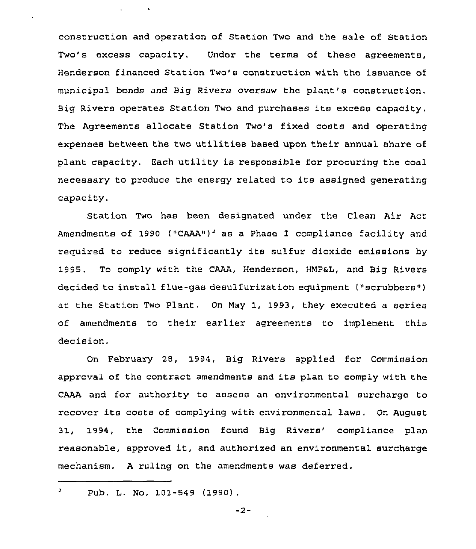construction and operation of Station Two and the sale of Station Two's excess capacity. Under the terms of these agreements, Henderson financed Station Two's construction with the issuance of municipal bonds and Big Rivers oversaw the plant's construction. Big Rivers operates Station Two and purchases its excess capacity. The Agreements allocate Station Two's fixed costs and operating expenses between the two utilities based upon their annual share of plant capacity, Each utility is responsible for procuring the coal necessary to produce the energy related to its assigned generating capacity.

Station Two has been designated under the Clean Air Act Amendments of 1990 ("CAAA")<sup>2</sup> as a Phase I compliance facility and required to reduce significantly its sulfur dioxide emissions by 1995. To comply with the CAAA, Henderson, HMP&L, and Big Rivers decided to install flue-gas desulfurization equipment ("scrubbers") at the Station Two Plant. On Nay 1, 1993, they executed a series of amendments to their earlier agreements to implement this decision.

On February 28, 1994, Big Rivers applied for Commission approval of the contract amendments and its plan to comply with the CAAA and for authority to assess an environmental surcharge to recover its costs of complying with environmental laws. On August 31, 1994, the Commission found Big Rivers'ompliance plan reasonable, approved it, and authorized an environmental surcharge mechanism. <sup>A</sup> ruling on the amendments was deferred.

 $\mathbf{q} = \mathbf{q} \times \mathbf{q}$  , where  $\mathbf{q} = \mathbf{q}$ 

-2-

 $\overline{2}$ Pub. L. No, 101-549 (1990)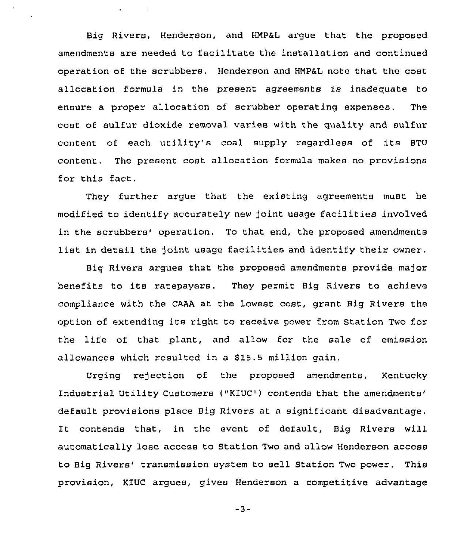Big Rivers, Henderson, and HMPaL argue that the proposed amendments are needed to facilitate the installation and continued operation of the scrubbers. Henderson and HMP&L note that the cost allocation formula in the present agreements is inadequate to ensure a proper allocation of scrubber operating expenses, The cost of sulfur dioxide removal varies with the quality and sulfur content of each utility's coal supply regardless of its BTU content. The present cost allocation formula makes no provisions for this fact.

They further argue that the existing agreements must be modified to identify accurately new joint usage facilities involved in the scrubbers' operation. To that end, the proposed amendments list in detail the joint usage facilities and identify their owner.

Big Rivers argues that the proposed amendments provide ma)or benefits to its ratepayers. They permit Big Rivers to achieve compliance with the CAAA at the lowest cost, grant Big Rivers the option of extending its right to receive power from Station Two for the life of that plant, and allow for the sale of emission allowances which resulted in a S15.5 million gain.

Urging rejection of the proposed amendments, Kentucky Industrial Utility Customers ("KIUC") contends that the amendments' default provisions place Big Rivers at a significant disadvantage, It contends that, in the event of default, Big Rivers will automatically lose access to Station Two and allow Henderson access to Big Rivers' transmission system to sell Station Two power. This provision, KIUC argues, gives Henderson a competitive advantage

 $-3-$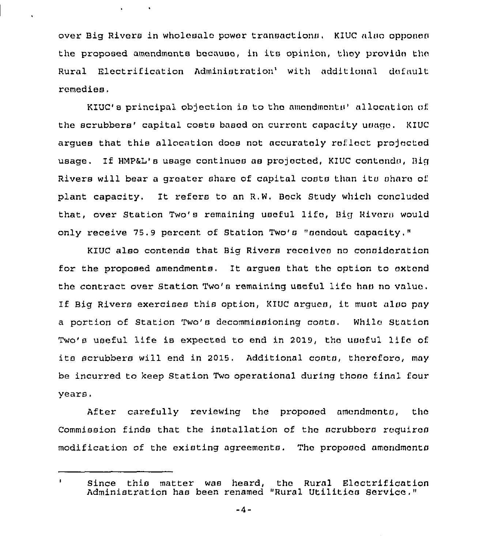over Big Rivers in wholesale power transactions. KIUC also opponen the proposed amendments because, in its opinion, they provide the Rural Electrification Administration' with additional default remedies,

 $\sim 10$ 

KIUC's principal objection is to the amondmonts' allocation of the scrubbers' capital costs based on current capacity usage. KIUC arques that this allocation does not accurately reflect projected usage. If HMP&L's usage continues as projected, KIUC contends, Big Rivers will bear a greater share of capital costs than its share of plant capacity. It refers to an R.W. Beck Study which concluded that, over Station Two's remaining useful lifo, Big Rivoru would only xeceive 75.9 percent of Station Two's "scndout capacity,"

KIUC also contends that Big Rivers receives no consideration for the px'oposed amendments. It argues that tho option to extend the contract over Station Two's remaining useful lifo has no valuo. If Big Rivers exercises this option, KIUC argues, it must also pay a portion of Station Two's decommissioning costs. While Station Two's useful life is expected to end in 2019, the useful life of its scrubbers will end in 2015. Additional costs, thoroforo, may be incurred to keep Station Two operational during those final four years.

After carefully reviewing the proposed amondmonts, the Commission finds that the installation of the scrubbors requires modification of the existing agreements. The proposed amondmonts

 $\mathbf{J}$ Since this matter was heard, the Rural Eloctrification Administration has been renamed "Rural Utilitics Service,"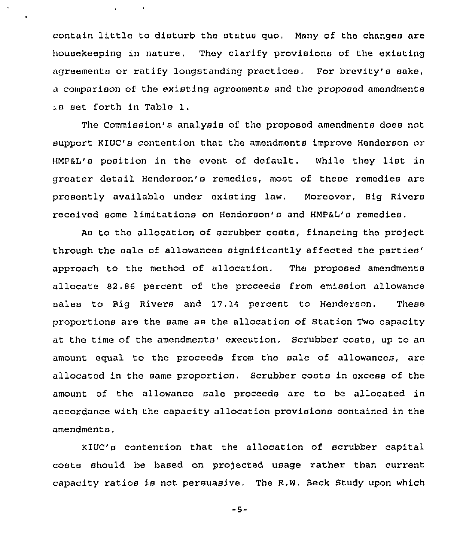contain little to disturb the status quo. Many of the changes are housekeeping in nature. They clarify provisions of the existing agreements or ratify longstanding practices. For brevity's sake, a comparison of the existing agreements and the proposed amendments is set forth in Table 1.

The Commission's analysis of the proposed amendments does not support KIUC's contention that the amendments improve Henderson or HMP&L's position in the event of default. While they list in greater detail Henderson's remedies, most of these remedies are presently available under existing law. Moreover, Big Rivers received some limitations on Henderson's and HMP&L's remedies.

As to the allocation of scrubber costs, financing the project through the sale of allowances significantly affected the parties' approach to the method of allocation. The proposed amendments allocate 82.86 percent of the proceeds from emission allowance sales to Big Rivers and 17,14 percent to Henderson. These proportions are the same as the allocation of Station Two capacity at the time of the amendments' execution. Scrubber costs, up to an amount equal to the proceeds from the sale of allowances, are allocated in the same proportion, Scrubber costa in excess of the amount of the allowance sale proceeds are to be allocated in accordance with the capacity allocation provisions contained in the amendments.

KIUC's contention that the allocation of scrubber capital costs should be based on projected usage rather than current capacity ratios is not persuasive. The R.W. Beck Study upon which

 $-5-$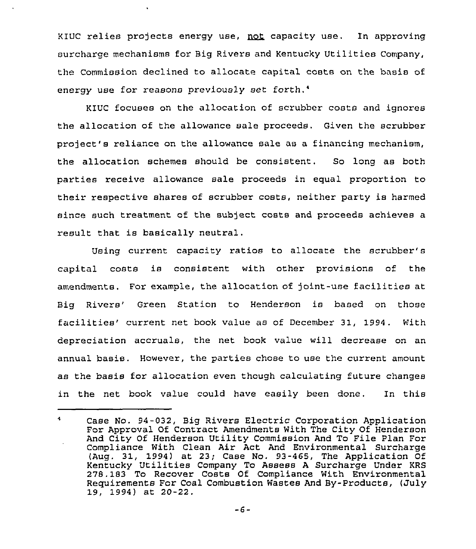KIUC relies projects energy use, not capacity use. In approving surcharge mechanisms for Big Rivers and Kentucky Utilities Company, the Commission declined to allocate capital costs on the basis of energy use for reasons previously set forth.<sup>4</sup>

KIUC focuses on the allocation of scrubber costs and ignores the allocation of the allowance sale proceeds. Given the scrubber project's reliance on the allowance sale as a financing mechanism, the allocation schemes should be consistent. So long as both parties receive allowance sale proceeds in equal proportion to their respective shares of scrubber costs, neither party is harmed since such treatment of the subject costs and proceeds achieves a result that is basically neutral.

Using current capacity ratios to allocate the scrubber's capital costs is consistent with other provisions of the amendments. For example, the allocation of joint-use facilities at Big Rivers' Green Station to Henderson is based on those facilities' current net book value as of December 31, 1994. With depreciation accruals, the net book value will decrease on an annual basis. However, the parties chose to use the current amount as the basis for allocation even though calculating future changes in the net book value could have easily been done. In this

 $\sim$ Case No. 94-032, Big Rivers Electric Corporation Application For Approval Of Contract Amendments With The City Of Henderson And City Of Henderson Utility Commission And To File Plan For Compliance With Clean Air Act And Environmental Surcharge (Aug. 31, 1994) at 23; Case No. 93-465, The Application Of Kentucky Utilities Company To Assess <sup>A</sup> Surcharge Under KRS 278.183 To Recover Costs Of Compliance With Environmental Requirements For Coal Combustion Wastes And By-Products, (July 19, 1994) at 20-22.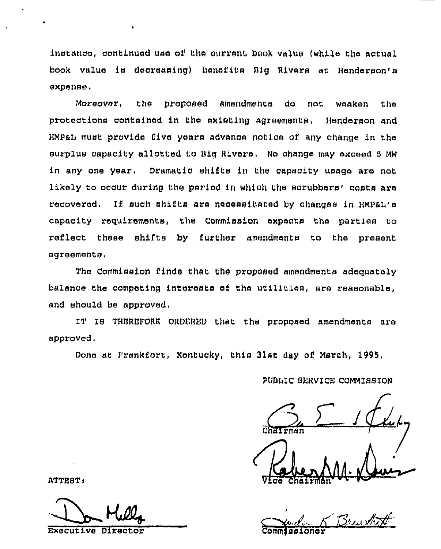instance, continued use of the current book value (while the actual book value is decreasing) benefits Big Rivers at Henderson's expense.

Moreover, the proposed amendments do not weaken the protections contained in the existing agreements, Henderson and HMP&L must provide five years advance notice of any change in the surplus capacity allotted to Big Rivers. No change may exceed 5 MW in any one year. Dramatic shifts in the capacity usage are not likely to occur during the period in which the scrubbers' costs are recovered. If such shifts are necessitated by changes in HMP&L's capacity requirements, the Commission expects the parties to reflect these shifts by further amendments to the present agreements.

The Commission finds that the proposed amendments adequately balance the competing interests of the utilities, are reasonable, and should be approved.

IT IS THEREFORE ORDERED that the proposed amendments are approved.

Done at Frankfort, Kentucky, this 31st day of March, 1995.

PUBLIC SERVICE COMMISSION

Brewth

ATTEST:

Executive Direct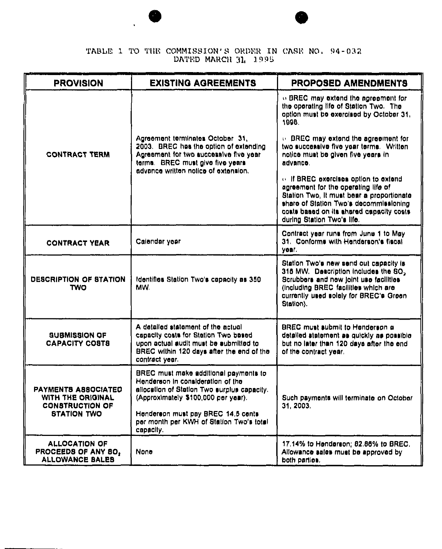TABLE 1 TO THE COMMISSION'S ORDER IN CASE NO. 94-032

| <b>PROVISION</b>                                                                         | <b>EXISTING AGREEMENTS</b>                                                                                                                                                                                                                         | <b>PROPOSED AMENDMENTS</b>                                                                                                                                                                                                                     |
|------------------------------------------------------------------------------------------|----------------------------------------------------------------------------------------------------------------------------------------------------------------------------------------------------------------------------------------------------|------------------------------------------------------------------------------------------------------------------------------------------------------------------------------------------------------------------------------------------------|
| <b>CONTRACT TERM</b>                                                                     | Agreement terminates October 31,<br>2003. BREC has the option of extending<br>Agreement for two successive five year<br>terms. BREC must give five years<br>advance written notice of extension.                                                   | o BREC may extend the agreement for<br>the operating life of Station Two. The<br>option must be exercised by October 31,<br>199B.                                                                                                              |
|                                                                                          |                                                                                                                                                                                                                                                    | ○ BREC may extend the agreement for<br>two successive five year terms. Written<br>notice must be given five years in<br>advance.                                                                                                               |
|                                                                                          |                                                                                                                                                                                                                                                    | o. If BREC exercises option to extend<br>agreement for the operating life of<br>Station Two, it must bear a proportionate<br>share of Station Two's decommissioning<br>costs based on its shared capacity costs.<br>during Station Two's life. |
| <b>CONTRACT YEAR</b>                                                                     | Calendar year                                                                                                                                                                                                                                      | Contract year runs from June 1 to May<br>31. Conforms with Henderson's fiscal<br>yonr.                                                                                                                                                         |
| <b>DESCRIPTION OF STATION</b><br>TWO                                                     | Identifies Station Two's capacity as 350<br>MW.                                                                                                                                                                                                    | Station Two's new send out capacity is<br>315 MW. Description includes the BO <sub>2</sub><br>Scrubbers and new joint use facilities<br>(including BREC facilities which are<br>currently used solely for BREC's Green.<br>Station).           |
| <b>SUBMISSION OF</b><br><b>CAPACITY COSTS</b>                                            | A datalled statement of the actual<br>capacity costs for Station Two based<br>upon actual audit must be submitted to<br>BREC within 120 days after the end of the<br>contract year.                                                                | <b>BREC</b> must submit to Henderson a<br>detailed statement as quickly as possible<br>but no later than 120 days after the end<br>of the contract year.                                                                                       |
| PAYMENTS ASSOCIATED<br>WITH THE ORIGINAL<br><b>CONSTRUCTION OF</b><br><b>STATION TWO</b> | BREC must make additional payments to<br>Henderson in consideration of the<br>allocation of Station Two surplus capacity.<br>(Approximately \$100,000 per year).<br>Henderson must pay BREC 14.5 cents<br>per month per KWH of Station Two's total | Such payments will terminate on October<br>31, 2003.                                                                                                                                                                                           |
| <b>ALLOCATION OF</b><br>PROCEEDS OF ANY SO,                                              | capacity.<br>None                                                                                                                                                                                                                                  | 17.14% to Henderson; 82.86% to BREC.<br>Allowance sales must be approved by                                                                                                                                                                    |
| <b>ALLOWANCE BALES</b>                                                                   |                                                                                                                                                                                                                                                    | both parties.                                                                                                                                                                                                                                  |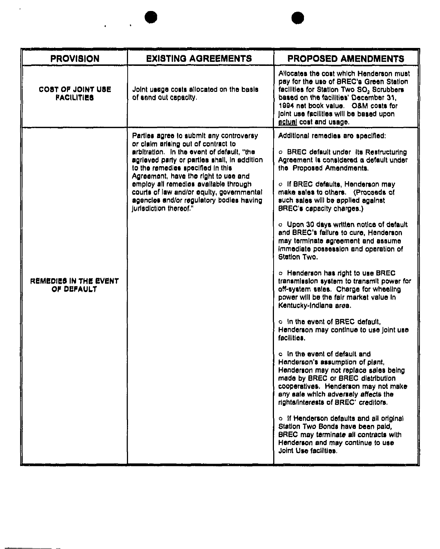